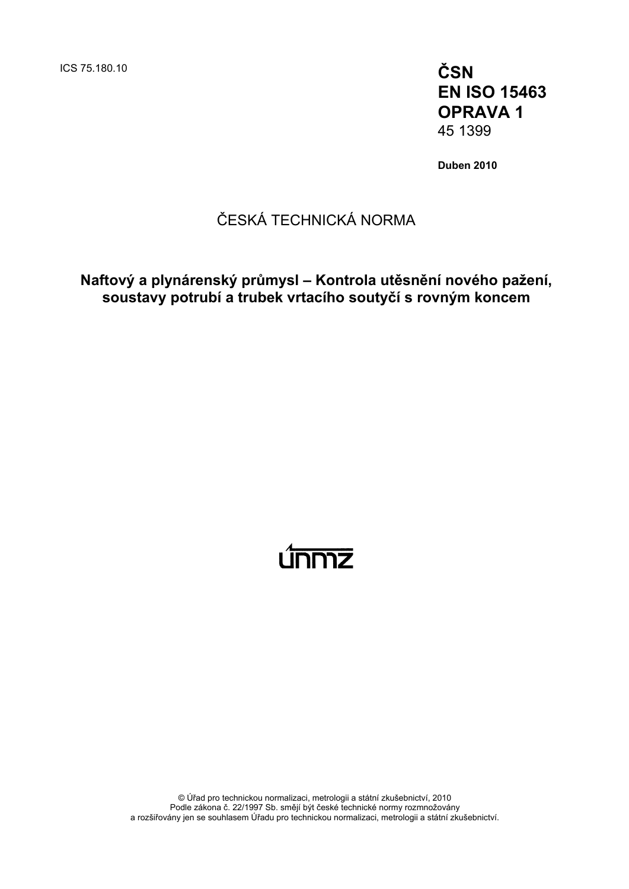ICS 75.180.10 **ČSN** 

**EN ISO 15463 OPRAVA 1**  45 1399

**Duben 2010** 

## ČESKÁ TECHNICKÁ NORMA

**Naftový a plynárenský průmysl – Kontrola utěsnění nového pažení, soustavy potrubí a trubek vrtacího soutyčí s rovným koncem** 

# $\sqrt{nmz}$

© Úřad pro technickou normalizaci, metrologii a státní zkušebnictví, 2010 Podle zákona č. 22/1997 Sb. smějí být české technické normy rozmnožovány a rozšiřovány jen se souhlasem Úřadu pro technickou normalizaci, metrologii a státní zkušebnictví.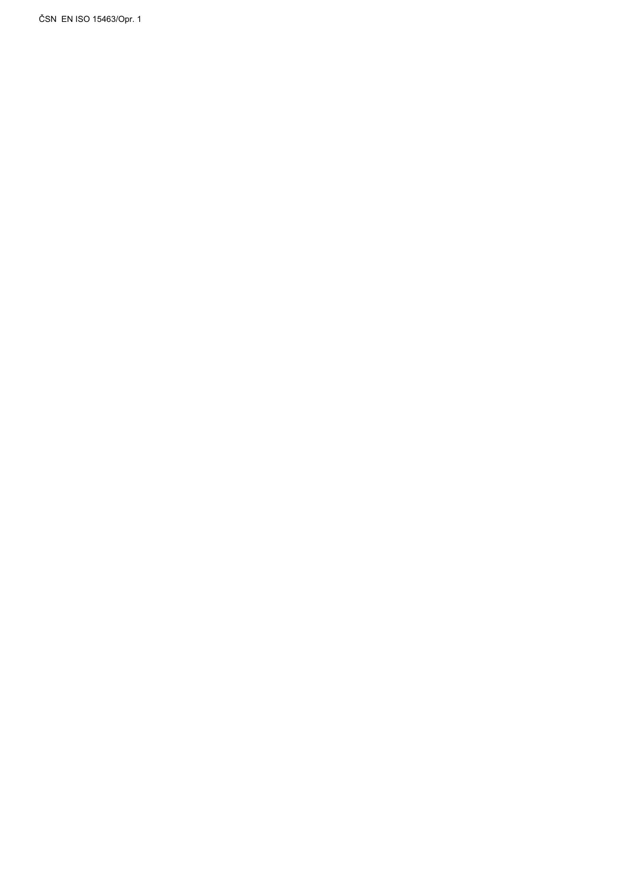ČSN EN ISO 15463/Opr. 1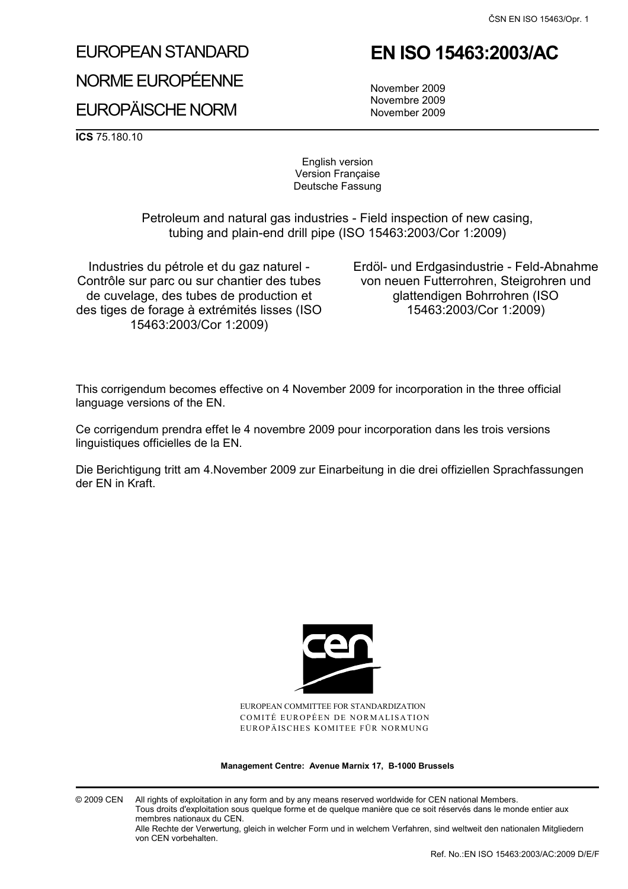## EUROPEAN STANDARD

## NORME EUROPÉENNE

## EUROPÄISCHE NORM

## **EN ISO 15463:2003/AC**

 November 2009 Novembre 2009 November 2009

**ICS** 75.180.10

English version Version Française Deutsche Fassung

 Petroleum and natural gas industries - Field inspection of new casing, tubing and plain-end drill pipe (ISO 15463:2003/Cor 1:2009)

Industries du pétrole et du gaz naturel - Contrôle sur parc ou sur chantier des tubes de cuvelage, des tubes de production et des tiges de forage à extrémités lisses (ISO 15463:2003/Cor 1:2009)

 Erdöl- und Erdgasindustrie - Feld-Abnahme von neuen Futterrohren, Steigrohren und glattendigen Bohrrohren (ISO 15463:2003/Cor 1:2009)

This corrigendum becomes effective on 4 November 2009 for incorporation in the three official language versions of the EN.

Ce corrigendum prendra effet le 4 novembre 2009 pour incorporation dans les trois versions linguistiques officielles de la EN.

Die Berichtigung tritt am 4.November 2009 zur Einarbeitung in die drei offiziellen Sprachfassungen der EN in Kraft.



EUROPEAN COMMITTEE FOR STANDARDIZATION COMITÉ EUROPÉEN DE NORMALISATION EUROPÄISCHES KOMITEE FÜR NORMUNG

**Management Centre: Avenue Marnix 17, B-1000 Brussels** 

© 2009 CEN All rights of exploitation in any form and by any means reserved worldwide for CEN national Members. Tous droits d'exploitation sous quelque forme et de quelque manière que ce soit réservés dans le monde entier aux membres nationaux du CEN.

Alle Rechte der Verwertung, gleich in welcher Form und in welchem Verfahren, sind weltweit den nationalen Mitgliedern von CEN vorbehalten.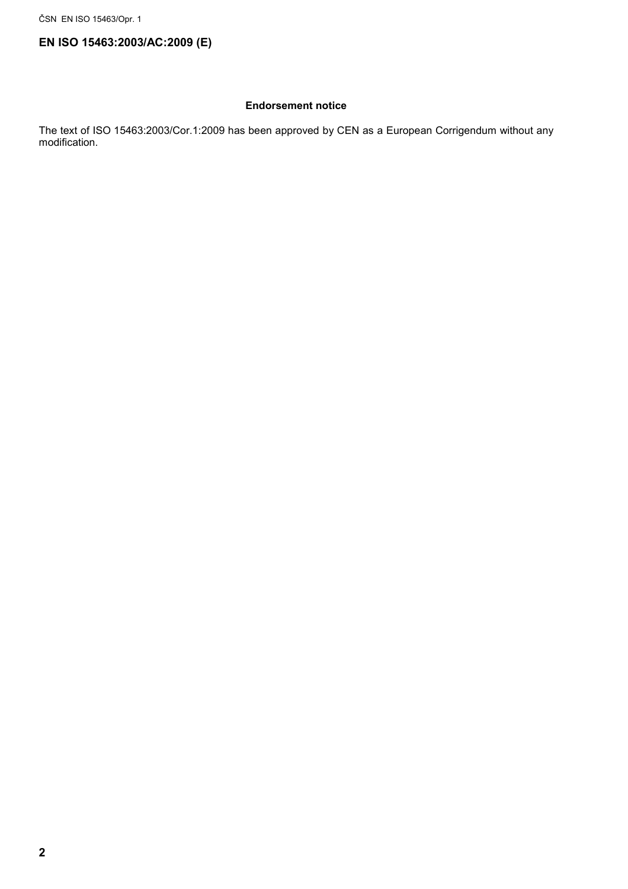ČSN EN ISO 15463/Opr. 1

#### **EN ISO 15463:2003/AC:2009 (E)**

#### **Endorsement notice**

The text of ISO 15463:2003/Cor.1:2009 has been approved by CEN as a European Corrigendum without any modification.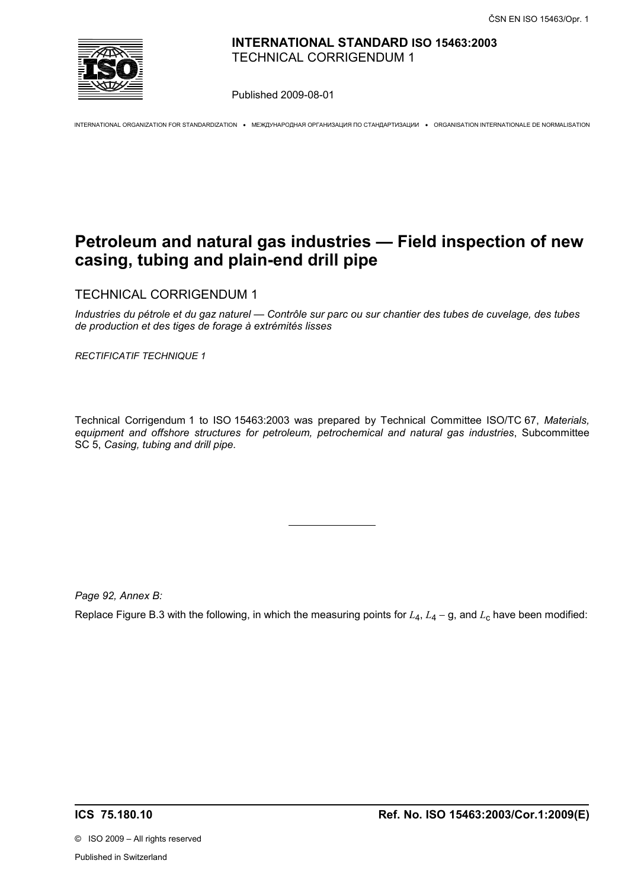

#### **INTERNATIONAL STANDARD ISO 15463:2003** TECHNICAL CORRIGENDUM 1

Published 2009-08-01

INTERNATIONAL ORGANIZATION FOR STANDARDIZATION • МЕЖДУНАРОДНАЯ ОРГАНИЗАЦИЯ ПО СТАНДАРТИЗАЦИИ • ORGANISATION INTERNATIONALE DE NORMALISATION

## **Petroleum and natural gas industries — Field inspection of new casing, tubing and plain-end drill pipe**

TECHNICAL CORRIGENDUM 1

*Industries du pétrole et du gaz naturel — Contrôle sur parc ou sur chantier des tubes de cuvelage, des tubes de production et des tiges de forage à extrémités lisses* 

*RECTIFICATIF TECHNIQUE 1*

Technical Corrigendum 1 to ISO 15463:2003 was prepared by Technical Committee ISO/TC 67, *Materials, equipment and offshore structures for petroleum, petrochemical and natural gas industries*, Subcommittee SC 5, *Casing, tubing and drill pipe.* 

L

*Page 92, Annex B:*

Replace Figure B.3 with the following, in which the measuring points for *L*4, *L*<sup>4</sup> − g, and *L*c have been modified:

**ICS 75.180.10 Ref. No. ISO 15463:2003/Cor.1:2009(E)**

©ISO 2009 – All rights reserved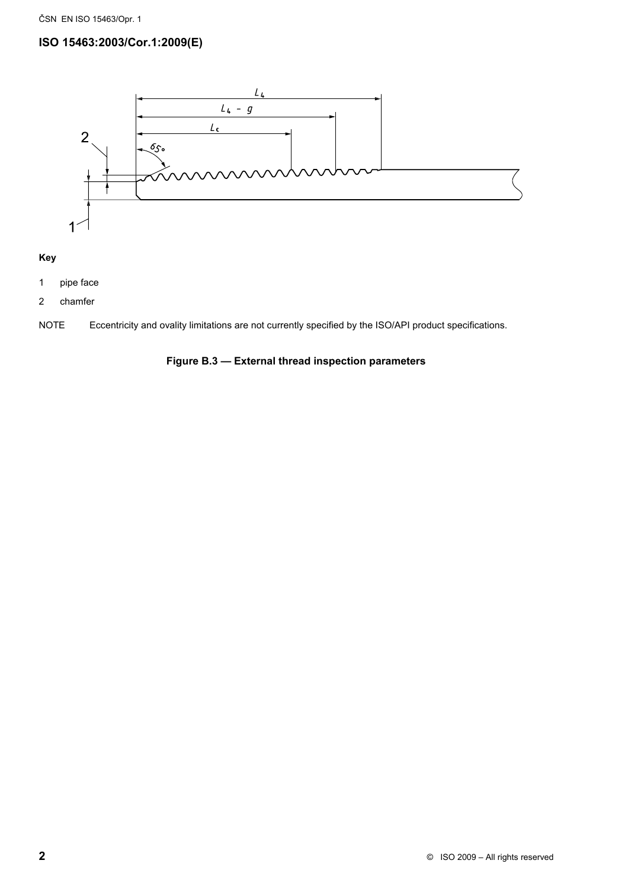#### **ISO 15463:2003/Cor.1:2009(E)**



#### **Key**

- 1 pipe face
- 2 chamfer



#### **Figure B.3 — External thread inspection parameters**